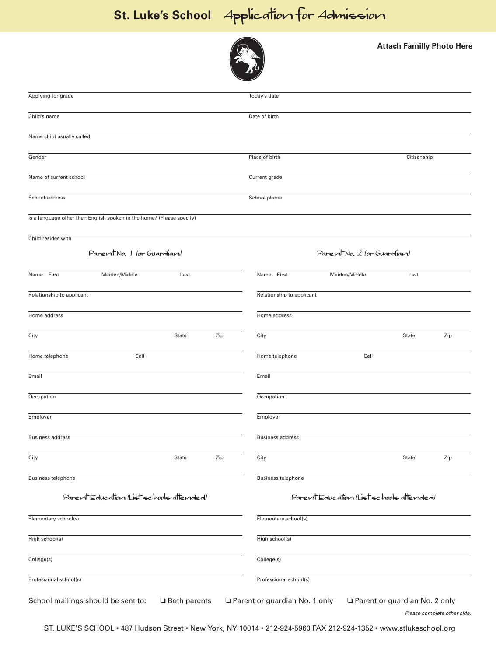## **St. Luke's School** Application for Admission



**Attach Familly Photo Here**

| Applying for grade                                                    | Today's date                                                                                 |  |
|-----------------------------------------------------------------------|----------------------------------------------------------------------------------------------|--|
| Child's name                                                          | Date of birth                                                                                |  |
| Name child usually called                                             |                                                                                              |  |
| Gender                                                                | Place of birth<br>Citizenship                                                                |  |
| Name of current school                                                | Current grade                                                                                |  |
| School address                                                        | School phone                                                                                 |  |
| Is a language other than English spoken in the home? (Please specify) |                                                                                              |  |
| Child resides with                                                    |                                                                                              |  |
| ParentNo. 1 (or Guardian)                                             | Parent No. 2 (or Guardian)                                                                   |  |
| Name First<br>Maiden/Middle<br>Last                                   | Name First<br>Maiden/Middle<br>Last                                                          |  |
| Relationship to applicant                                             | Relationship to applicant                                                                    |  |
| Home address                                                          | Home address                                                                                 |  |
| Zip<br>City<br>State                                                  | City<br>State<br>Zip                                                                         |  |
| Cell<br>Home telephone                                                | Home telephone<br>Cell                                                                       |  |
| Email                                                                 | Email                                                                                        |  |
| Occupation                                                            | Occupation                                                                                   |  |
| Employer                                                              | Employer                                                                                     |  |
| <b>Business address</b>                                               | <b>Business address</b>                                                                      |  |
| City<br>Zip<br><b>State</b>                                           | City<br>Zip<br>State                                                                         |  |
| <b>Business telephone</b>                                             | <b>Business telephone</b>                                                                    |  |
| Parent Education (List schools attended)                              | Parent Education (List schools attended)                                                     |  |
| Elementary school(s)                                                  | Elementary school(s)                                                                         |  |
| High school(s)                                                        | High school(s)                                                                               |  |
| College(s)                                                            | College(s)                                                                                   |  |
| Professional school(s)                                                | Professional school(s)                                                                       |  |
| School mailings should be sent to:<br>□ Both parents                  | Parent or guardian No. 1 only<br>Parent or guardian No. 2 only<br>Please complete other side |  |

ST. LUKE'S SCHOOL • 487 Hudson Street • New York, NY 10014 • 212-924-5960 FAX 212-924-1352 • www.stlukeschool.org